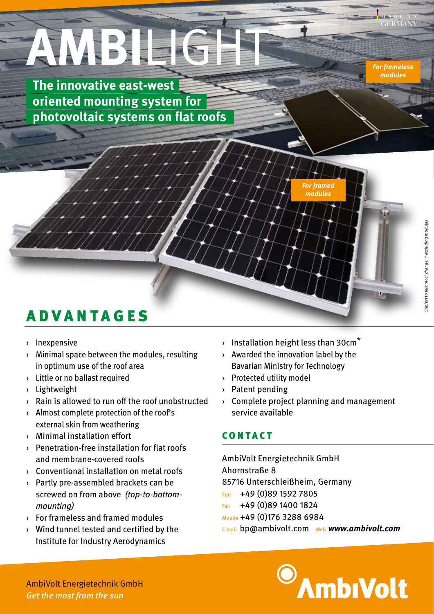MADE IN **GERMANY** 

*For frameless modules*

# **AMBILIGHT**

**The innovative east-west oriented mounting system for photovoltaic systems on flat roofs**



## ADVANTAGES

- › Inexpensive
- › Minimal space between the modules, resulting in optimum use of the roof area
- › Little or no ballast required
- › Lightweight
- › Rain is allowed to run off the roof unobstructed
- › Almost complete protection of the roof's external skin from weathering
- › Minimal installation effort
- › Penetration-free installation for flat roofs and membrane-covered roofs
- › Conventional installation on metal roofs
- › Partly pre-assembled brackets can be screwed on from above *(top-to-bottommounting)*
- › For frameless and framed modules
- › Wind tunnel tested and certified by the Institute for Industry Aerodynamics
- $\rightarrow$  Installation height less than 30cm<sup>\*</sup>
- › Awarded the innovation label by the Bavarian Ministry for Technology
- › Protected utility model
- › Patent pending
- › Complete project planning and management service available

#### CONTACT

AmbiVolt Energietechnik GmbH Ahornstraße 8 85716 Unterschleißheim, Germany Fon +49 (0)89 1592 7805 Fax +49 (0)89 1400 1824 Mobile +49 (0)176 3288 6984

E-mail bp@ambivolt.com Web *www.ambivolt.com*



AmbiVolt Energietechnik GmbH *Get the most from the sun*